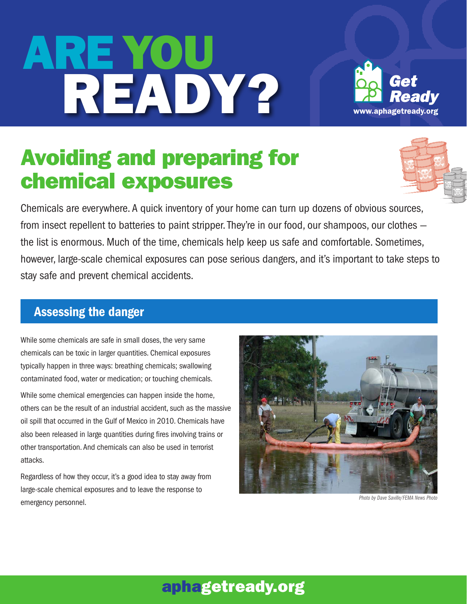# Are YOU reADY?



## Avoiding and preparing for chemical exposures



 Chemicals are everywhere. A quick inventory of your home can turn up dozens of obvious sources, from insect repellent to batteries to paint stripper. They're in our food, our shampoos, our clothes — the list is enormous. Much of the time, chemicals help keep us safe and comfortable. Sometimes, however, large-scale chemical exposures can pose serious dangers, and it's important to take steps to stay safe and prevent chemical accidents.

#### Assessing the danger

 While some chemicals are safe in small doses, the very same chemicals can be toxic in larger quantities. Chemical exposures typically happen in three ways: breathing chemicals; swallowing contaminated food, water or medication; or touching chemicals.

 While some chemical emergencies can happen inside the home, others can be the result of an industrial accident, such as the massive oil spill that occurred in the Gulf of Mexico in 2010. Chemicals have also been released in large quantities during fires involving trains or other transportation. And chemicals can also be used in terrorist attacks.

 Regardless of how they occur, it's a good idea to stay away from large-scale chemical exposures and to leave the response to **Photo by Dave Saville/FEMA News Photo**<br> **Photo by Dave Saville/FEMA News Photo** 



### aphagetready.org